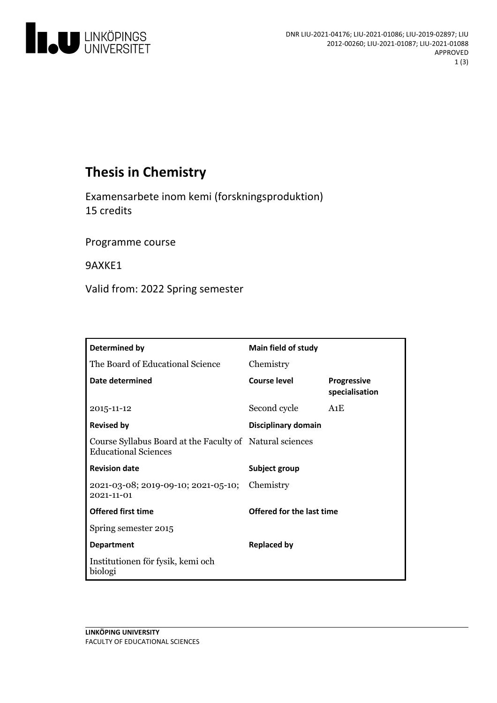

# **Thesis in Chemistry**

Examensarbete inom kemi (forskningsproduktion) 15 credits

Programme course

9AXKE1

Valid from: 2022 Spring semester

| Determined by                                                                           | Main field of study       |                                      |
|-----------------------------------------------------------------------------------------|---------------------------|--------------------------------------|
| The Board of Educational Science                                                        | Chemistry                 |                                      |
| Date determined                                                                         | Course level              | <b>Progressive</b><br>specialisation |
| 2015-11-12                                                                              | Second cycle              | A1E                                  |
| <b>Revised by</b>                                                                       | Disciplinary domain       |                                      |
| Course Syllabus Board at the Faculty of Natural sciences<br><b>Educational Sciences</b> |                           |                                      |
| <b>Revision date</b>                                                                    | Subject group             |                                      |
| 2021-03-08; 2019-09-10; 2021-05-10; Chemistry<br>$2021 - 11 - 01$                       |                           |                                      |
| <b>Offered first time</b>                                                               | Offered for the last time |                                      |
| Spring semester 2015                                                                    |                           |                                      |
| <b>Department</b>                                                                       | <b>Replaced by</b>        |                                      |
| Institutionen för fysik, kemi och<br>biologi                                            |                           |                                      |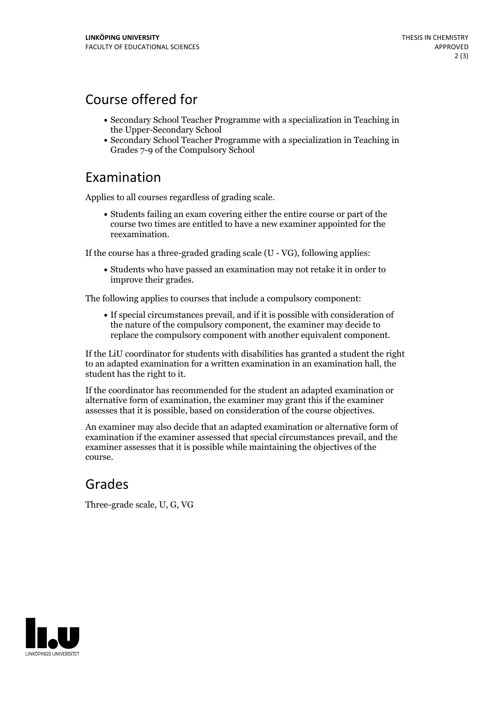# Course offered for

- Secondary School Teacher Programme with a specialization in Teaching in the Upper-Secondary School
- Secondary School Teacher Programme with a specialization in Teaching in Grades 7-9 of the Compulsory School

#### Examination

Applies to all courses regardless of grading scale.

Students failing an exam covering either the entire course or part of the course two times are entitled to have a new examiner appointed for the reexamination.

If the course has a three-graded grading scale (U - VG), following applies:

Students who have passed an examination may not retake it in order to improve their grades.

The following applies to courses that include a compulsory component:

If special circumstances prevail, and if it is possible with consideration of the nature of the compulsory component, the examiner may decide to replace the compulsory component with another equivalent component.

If the LiU coordinator for students with disabilities has granted a student the right to an adapted examination for a written examination in an examination hall, the student has the right to it.

If the coordinator has recommended for the student an adapted examination or alternative form of examination, the examiner may grant this ifthe examiner assesses that it is possible, based on consideration of the course objectives.

An examiner may also decide that an adapted examination or alternative form of examination if the examiner assessed that special circumstances prevail, and the examiner assesses that it is possible while maintaining the objectives of the course.

### Grades

Three-grade scale, U, G, VG